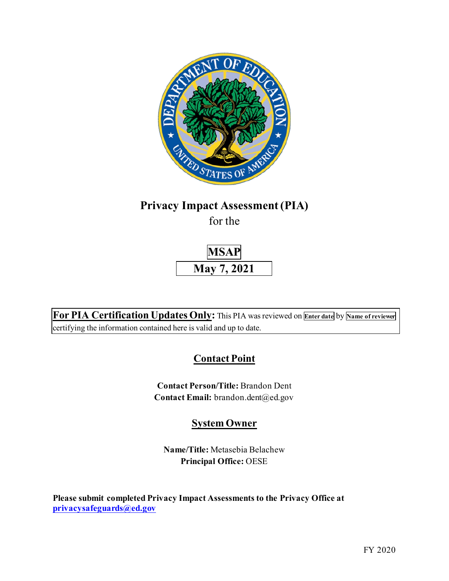

# **Privacy Impact Assessment (PIA)**

for the



 **For PIA Certification Updates Only:** This PIA was reviewed on **Enter date** by **Name of reviewer**  certifying the information contained here is valid and up to date.

# **Contact Point**

**Contact Person/Title:** Brandon Dent Contact Email: [brandon.dent@ed.gov](mailto:brandon.dent@ed.gov)

# **System Owner**

**Name/Title:** Metasebia Belachew **Principal Office:** OESE

 **[privacysafeguards@ed.gov](mailto:privacysafeguards@ed.gov) Please submit completed Privacy Impact Assessments to the Privacy Office at**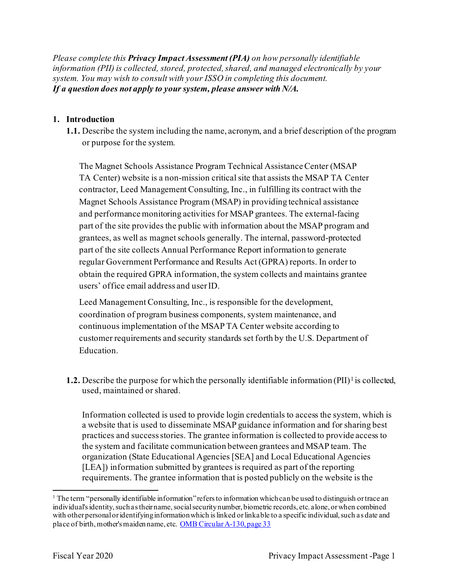*Please complete this Privacy Impact Assessment (PIA) on how personally identifiable information (PII) is collected, stored, protected, shared, and managed electronically by your system. You may wish to consult with your ISSO in completing this document. If a question does not apply to your system, please answer with N/A.* 

#### **1. Introduction**

**1.1.** Describe the system including the name, acronym, and a brief description of the program or purpose for the system.

 TA Center) website is a non-mission critical site that assists the MSAP TA Center users' office email address and user ID. The Magnet Schools Assistance Program Technical Assistance Center (MSAP contractor, Leed Management Consulting, Inc., in fulfilling its contract with the Magnet Schools Assistance Program (MSAP) in providing technical assistance and performance monitoring activities for MSAP grantees. The external-facing part of the site provides the public with information about the MSAP program and grantees, as well as magnet schools generally. The internal, password-protected part of the site collects Annual Performance Report information to generate regular Government Performance and Results Act (GPRA) reports. In order to obtain the required GPRA information, the system collects and maintains grantee

Leed Management Consulting, Inc., is responsible for the development, coordination of program business components, system maintenance, and continuous implementation of the MSAP TA Center website according to customer requirements and security standards set forth by the U.S. Department of Education.

**1.2.** Describe the purpose for which the personally identifiable information (PII)<sup>1</sup> is collected, used, maintained or shared.

 a website that is used to disseminate MSAP guidance information and for sharing best organization (State Educational Agencies [SEA] and Local Educational Agencies Information collected is used to provide login credentials to access the system, which is practices and success stories. The grantee information is collected to provide access to the system and facilitate communication between grantees and MSAP team. The [LEA]) information submitted by grantees is required as part of the reporting requirements. The grantee information that is posted publicly on the website is the

place of birth, mother's maiden name, etc. OMB Circular A-130, page 33 <sup>1</sup> The term "personally identifiable information" refers to information which can be used to distinguish or trace an individual's identity, such as their name, social security number, biometric records, etc. alone, or when combined with other personal or identifying information which is linked or linkable to a specific individual, such as date and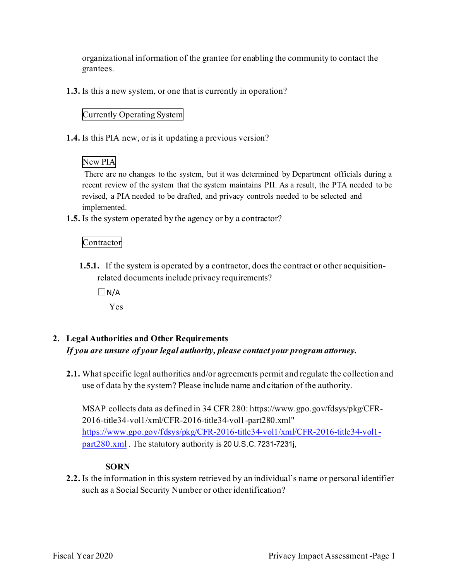grantees. organizational information of the grantee for enabling the community to contact the

**1.3.** Is this a new system, or one that is currently in operation?

### Currently Operating System

**1.4.** Is this PIA new, or is it updating a previous version?

## New PIA

 There are no changes to the system, but it was determined by Department officials during a recent review of the system that the system maintains PII. As a result, the PTA needed to be revised, a PIA needed to be drafted, and privacy controls needed to be selected and implemented.

**1.5.** Is the system operated by the agency or by a contractor?

## Contractor

- **1.5.1.** If the system is operated by a contractor, does the contract or other acquisitionrelated documents include privacy requirements?
	- $\Box$  N/A

Yes

- **2. Legal Authorities and Other Requirements**  *If you are unsure of your legal authority, please contact your program attorney.* 
	- **2.1.** What specific legal authorities and/or agreements permit and regulate the collection and use of data by the system? Please include name and citation of the authority.

MSAP collects data as defined in 34 CFR 280: [https://www.gpo.gov/fdsys/pkg/CFR](https://280:https://www.gpo.gov/fdsys/pkg/CFR)-2016-title34-vol1/xml/CFR-2016-title34-vol1-part280.xml" <https://www.gpo.gov/fdsys/pkg/CFR-2016-title34-vol1/xml/CFR-2016-title34-vol1> part280.xml . The statutory authority is 20 U.S.C. 7231-7231j,

### **SORN**

 such as a Social Security Number or other identification? **2.2.** Is the information in this system retrieved by an individual's name or personal identifier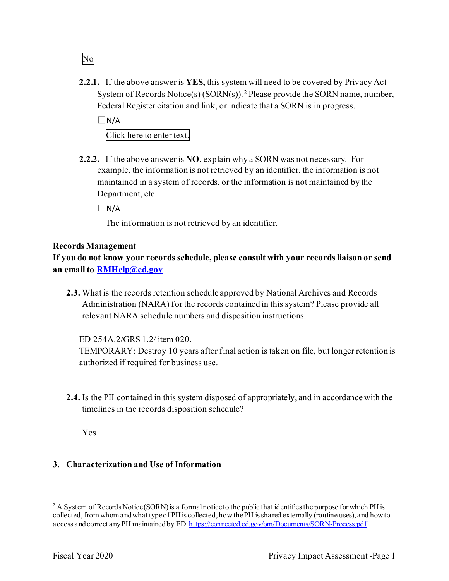**2.2.1.** If the above answer is **YES,** this system will need to be covered by Privacy Act System of Records Notice(s)  $(SORN(s))$ .<sup>2</sup> Please provide the SORN name, number, Federal Register citation and link, or indicate that a SORN is in progress.

 Click here to enter text.  $\Box$  N/A

 **2.2.2.** If the above answer is **NO**, explain why a SORN was not necessary. For Department, etc. example, the information is not retrieved by an identifier, the information is not maintained in a system of records, or the information is not maintained by the

 $\Box$ N/A

The information is not retrieved by an identifier.

#### **Records Management**

No

 **If you do not know your records schedule, please consult with your records liaison or send an email to [RMHelp@ed.gov](mailto:RMHelp@ed.gov)** 

 **2.3.** What is the records retention schedule approved by National Archives and Records Administration (NARA) for the records contained in this system? Please provide all relevant NARA schedule numbers and disposition instructions.

ED 254A.2/GRS 1.2/ item 020.

TEMPORARY: Destroy 10 years after final action is taken on file, but longer retention is authorized if required for business use.

**2.4.** Is the PII contained in this system disposed of appropriately, and in accordance with the timelines in the records disposition schedule?

Yes

### **3. Characterization and Use of Information**

access and correct any PII maintained by ED. <u>https://connected.ed.gov/om/Documents/SORN-Process.pdf</u><br>Fiscal Year 2020 Privacy Impact Assessment -Page 1 <sup>2</sup> A System of Records Notice (SORN) is a formal notice to the public that identifies the purpose for which PII is collected, from whom and what type of PII is collected, how the PII is shared externally (routine uses), and how to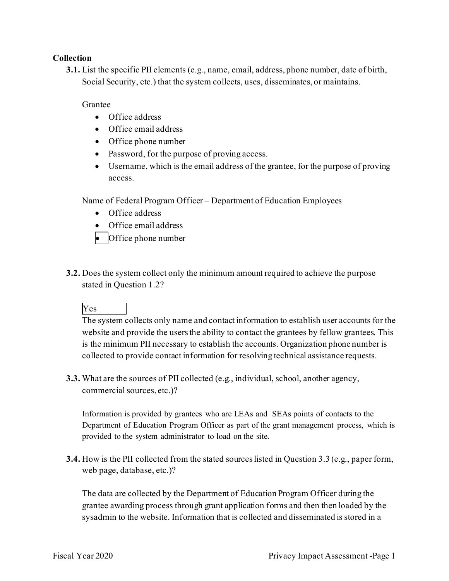#### **Collection**

**3.1.** List the specific PII elements (e.g., name, email, address, phone number, date of birth, Social Security, etc.) that the system collects, uses, disseminates, or maintains.

Grantee

- Office address
- Office email address
- Office phone number
- Password, for the purpose of proving access.
- Username, which is the email address of the grantee, for the purpose of proving access.

Name of Federal Program Officer – Department of Education Employees

- Office address
- Office email address
- Office phone number
- **3.2.** Does the system collect only the minimum amount required to achieve the purpose stated in Question 1.2?

### Yes

The system collects only name and contact information to establish user accounts for the website and provide the users the ability to contact the grantees by fellow grantees. This is the minimum PII necessary to establish the accounts. Organization phone number is collected to provide contact information for resolving technical assistance requests.

**3.3.** What are the sources of PII collected (e.g., individual, school, another agency, commercial sources, etc.)?

 Information is provided by grantees who are LEAs and SEAs points of contacts to the Department of Education Program Officer as part of the grant management process, which is provided to the system administrator to load on the site.

 **3.4.** How is the PII collected from the stated sourceslisted in Question 3.3 (e.g., paper form, web page, database, etc.)?

 sysadmin to the website. Information that is collected and disseminated is stored in a The data are collected by the Department of Education Program Officer during the grantee awarding process through grant application forms and then then loaded by the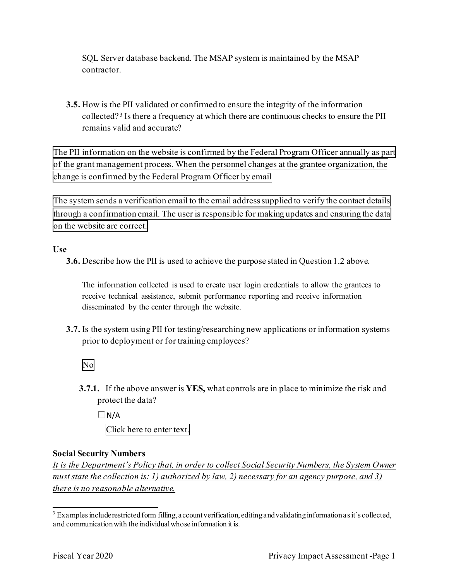SQL Server database backend. The MSAP system is maintained by the MSAP contractor.

**3.5.** How is the PII validated or confirmed to ensure the integrity of the information collected? 3 Is there a frequency at which there are continuous checks to ensure the PII remains valid and accurate?

 The PII information on the website is confirmed by the Federal Program Officer annually as part of the grant management process. When the personnel changes at the grantee organization, the change is confirmed by the Federal Program Officer by email

 The system sends a verification email to the email address supplied to verify the contact details through a confirmation email. The user is responsible for making updates and ensuring the data on the website are correct.

**Use** 

**3.6.** Describe how the PII is used to achieve the purpose stated in Question 1.2 above.

 The information collected is used to create user login credentials to allow the grantees to receive technical assistance, submit performance reporting and receive information disseminated by the center through the website.

- **3.7.** Is the system using PII for testing/researching new applications or information systems prior to deployment or for training employees?
	- No
	- **3.7.1.** If the above answer is **YES,** what controls are in place to minimize the risk and protect the data?

 Click here to enter text.  $\Box$  N/A

### **Social Security Numbers**

*It is the Department's Policy that, in order to collect Social Security Numbers, the System Owner must state the collection is: 1) authorized by law, 2) necessary for an agency purpose, and 3) there is no reasonable alternative.* 

 and communication with the individual whose information it is. <sup>3</sup> Examples include restricted form filling, account verification, editing and validating information as it's collected,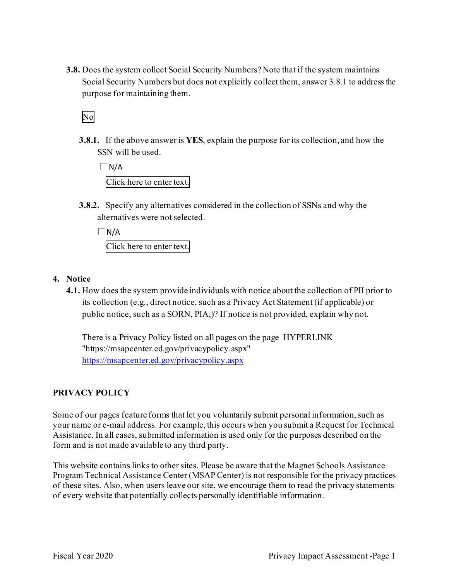**3.8.** Does the system collect Social Security Numbers? Note that if the system maintains Social Security Numbers but does not explicitly collect them, answer 3.8.1 to address the purpose for maintaining them.

# No

 SSN will be used. **3.8.1.** If the above answer is **YES**, explain the purpose for its collection, and how the

 $\Box$ N/A Click here to enter text.

**3.8.2.** Specify any alternatives considered in the collection of SSNs and why the alternatives were not selected.

 $\Box$ N/A Click here to enter text.

#### **4. Notice**

 its collection (e.g., direct notice, such as a Privacy Act Statement (if applicable) or **4.1.** How does the system provide individuals with notice about the collection of PII prior to public notice, such as a SORN, PIA,)? If notice is not provided, explain why not.

<https://msapcenter.ed.gov/privacypolicy.aspx> There is a Privacy Policy listed on all pages on the page HYPERLINK "[https://msapcenter.ed.gov/privacypolicy.aspx"](https://msapcenter.ed.gov/privacypolicy.aspx)

#### **PRIVACY POLICY**

Some of our pages feature forms that let you voluntarily submit personal information, such as your name or e-mail address. For example, this occurs when you submit a Request for Technical Assistance. In all cases, submitted information is used only for the purposes described on the form and is not made available to any third party.

This website contains links to other sites. Please be aware that the Magnet Schools Assistance Program Technical Assistance Center (MSAP Center) is not responsible for the privacy practices of these sites. Also, when users leave our site, we encourage them to read the privacy statements of every website that potentially collects personally identifiable information.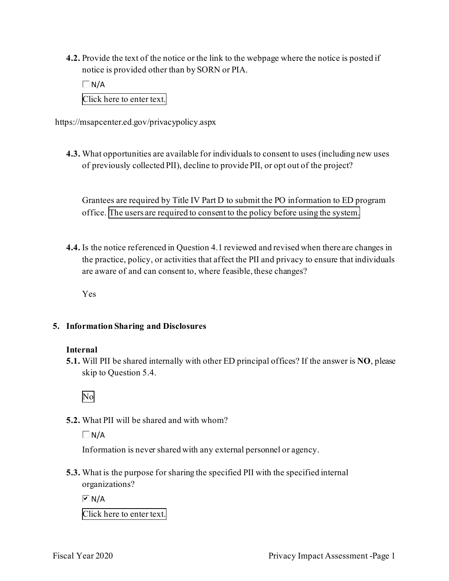**4.2.** Provide the text of the notice or the link to the webpage where the notice is posted if notice is provided other than by SORN or PIA.

 Click here to enter text.  $\Box N/A$ 

<https://msapcenter.ed.gov/privacypolicy.aspx>

**4.3.** What opportunities are available for individuals to consent to uses (including new uses of previously collected PII), decline to provide PII, or opt out of the project?

 office. The users are required to consent to the policy before using the system. Grantees are required by Title IV Part D to submit the PO information to ED program

**4.4.** Is the notice referenced in Question 4.1 reviewed and revised when there are changes in the practice, policy, or activities that affect the PII and privacy to ensure that individuals are aware of and can consent to, where feasible, these changes?

Yes

### **5. Information Sharing and Disclosures**

### **Internal**

 **5.1.** Will PII be shared internally with other ED principal offices? If the answer is **NO**, please skip to Question 5.4.



**5.2.** What PII will be shared and with whom?

 $\Box$  N/A

Information is never shared with any external personnel or agency.

**5.3.** What is the purpose for sharing the specified PII with the specified internal organizations?

 $\overline{M}$  N/A

Click here to enter text.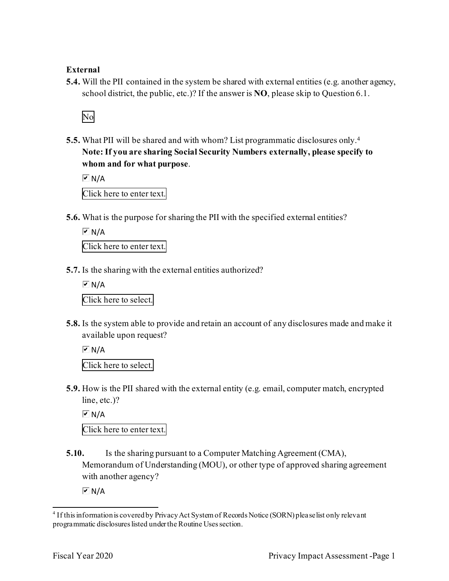#### **External**

**5.4.** Will the PII contained in the system be shared with external entities (e.g. another agency, school district, the public, etc.)? If the answer is **NO**, please skip to Question 6.1.



 **5.5.** What PII will be shared and with whom? List programmatic disclosures only. 4 **Note: If you are sharing Social Security Numbers externally, please specify to whom and for what purpose**.

 $\overline{M}$  N/A

Click here to enter text.

**5.6.** What is the purpose for sharing the PII with the specified external entities?

 Click here to enter text.  $\overline{M}$  N/A

**5.7.** Is the sharing with the external entities authorized?

 Click here to select.  $\overline{M}$  N/A

**5.8.** Is the system able to provide and retain an account of any disclosures made and make it available upon request?

 Click here to select.  $\overline{M}$  N/A

**5.9.** How is the PII shared with the external entity (e.g. email, computer match, encrypted line, etc.)?

 $\overline{M}$  N/A

Click here to enter text.

**5.10.** Is the sharing pursuant to a Computer Matching Agreement (CMA), Memorandum of Understanding (MOU), or other type of approved sharing agreement with another agency?

 $\overline{\triangleright}$  N/A

<sup>4</sup> If this information is covered by Privacy Act System of Records Notice (SORN) please list only relevant programmatic disclosures listed under the Routine Uses section.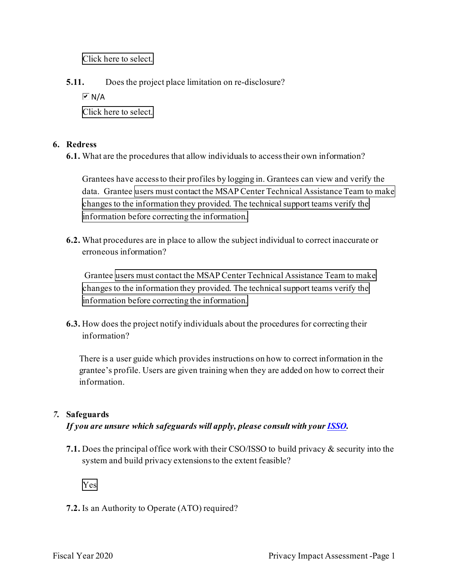Click here to select.

**5.11.** Does the project place limitation on re-disclosure?

 $\overline{M}$  N/A

Click here to select.

#### **6. Redress**

**6.1.** What are the procedures that allow individuals to access their own information?

data. Grantee users must contact the MSAP Center Technical Assistance Team to make changes to the information they provided. The technical support teams verify the information before correcting the information. Grantees have access to their profiles by logging in. Grantees can view and verify the

**6.2.** What procedures are in place to allow the subject individual to correct inaccurate or erroneous information?

 Grantee users must contact the MSAP Center Technical Assistance Team to make changes to the information they provided. The technical support teams verify the information before correcting the information.

**6.3.** How does the project notify individuals about the procedures for correcting their information?

 There is a user guide which provides instructions on how to correct information in the grantee's profile. Users are given training when they are added on how to correct their information.

### *7.* **Safeguards**

 *If you are unsure which safeguards will apply, please consult with your ISSO.* 

**7.1.** Does the principal office work with their CSO/ISSO to build privacy & security into the system and build privacy extensions to the extent feasible?



**7.2.** Is an Authority to Operate (ATO) required?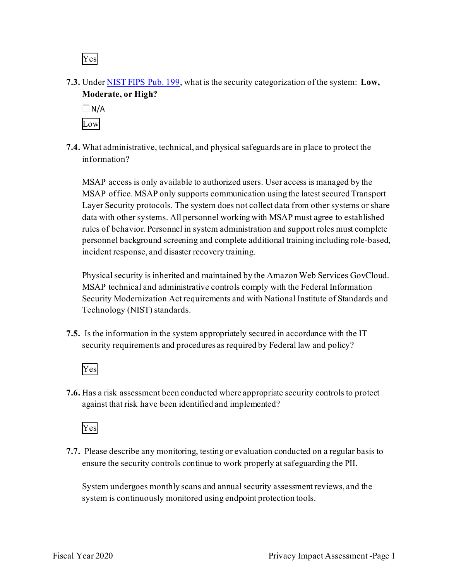Yes

**7.3.** Under NIST FIPS Pub. 199, what is the security categorization of the system: **Low, Moderate, or High?** 



**7.4.** What administrative, technical, and physical safeguards are in place to protect the information?

incident response, and disaster recovery training. MSAP access is only available to authorized users. User access is managed by the MSAP office. MSAP only supports communication using the latest secured Transport Layer Security protocols. The system does not collect data from other systems or share data with other systems. All personnel working with MSAP must agree to established rules of behavior. Personnel in system administration and support roles must complete personnel background screening and complete additional training including role-based,

incident response, and disaster recovery training.<br>Physical security is inherited and maintained by the Amazon Web Services GovCloud. MSAP technical and administrative controls comply with the Federal Information Security Modernization Act requirements and with National Institute of Standards and Technology (NIST) standards.

**7.5.** Is the information in the system appropriately secured in accordance with the IT security requirements and procedures as required by Federal law and policy?



**7.6.** Has a risk assessment been conducted where appropriate security controls to protect against that risk have been identified and implemented?



 ensure the security controls continue to work properly at safeguarding the PII. **7.7.** Please describe any monitoring, testing or evaluation conducted on a regular basis to

 system is continuously monitored using endpoint protection tools. System undergoes monthly scans and annual security assessment reviews, and the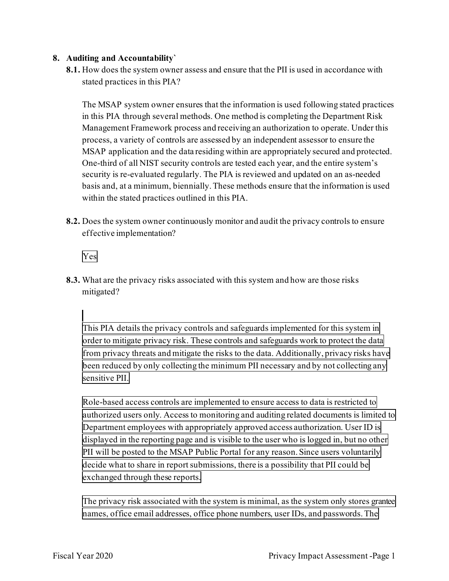#### **8. Auditing and Accountability`**

 **8.1.** How does the system owner assess and ensure that the PII is used in accordance with stated practices in this PIA?

 in this PIA through several methods. One method is completing the Department Risk The MSAP system owner ensures that the information is used following stated practices Management Framework process and receiving an authorization to operate. Under this process, a variety of controls are assessed by an independent assessor to ensure the MSAP application and the data residing within are appropriately secured and protected. One-third of all NIST security controls are tested each year, and the entire system's security is re-evaluated regularly. The PIA is reviewed and updated on an as-needed basis and, at a minimum, biennially. These methods ensure that the information is used within the stated practices outlined in this PIA.

**8.2.** Does the system owner continuously monitor and audit the privacy controls to ensure effective implementation?

Yes

**8.3.** What are the privacy risks associated with this system and how are those risks mitigated?

 This PIA details the privacy controls and safeguards implemented for this system in order to mitigate privacy risk. These controls and safeguards work to protect the data from privacy threats and mitigate the risks to the data. Additionally, privacy risks have been reduced by only collecting the minimum PII necessary and by not collecting any sensitive PII.

 Role-based access controls are implemented to ensure access to data is restricted to authorized users only. Access to monitoring and auditing related documents is limited to Department employees with appropriately approved access authorization. User ID is displayed in the reporting page and is visible to the user who is logged in, but no other PII will be posted to the MSAP Public Portal for any reason. Since users voluntarily decide what to share in report submissions, there is a possibility that PII could be exchanged through these reports.

 The privacy risk associated with the system is minimal, as the system only stores grantee names, office email addresses, office phone numbers, user IDs, and passwords.The